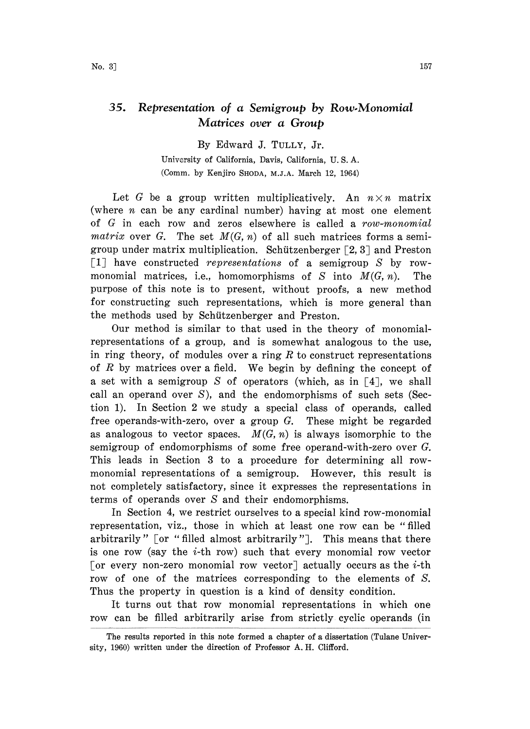## 35. Representation of a Semigroup by Row.Monomial Matrices over a Group

By Edward J. TULLY, Jr.

University of California, Davis, California, U. S. A. (Comm. by Kenjiro SHODA, M.J.A. March 12, 1964)

Let G be a group written multiplicatively. An  $n \times n$  matrix (where  $n$  can be any cardinal number) having at most one element of  $G$  in each row and zeros elsewhere is called a  $row\text{-}monomial$ matrix over G. The set  $M(G, n)$  of all such matrices forms a semigroup under matrix multiplication. Schützenberger  $\lceil 2, 3 \rceil$  and Preston [1] have constructed representations of a semigroup  $S$  by rowmonomial matrices, i.e., homomorphisms of S into  $M(G, n)$ . The purpose of this note is to present, without proofs, a new method for constructing such representations, which is more general than the methods used by Schützenberger and Preston.

Our method is similar to that used in the theory of monomialrepresentations of a group, and is somewhat analogous to the use, in ring theory, of modules over a ring  $R$  to construct representations of  $R$  by matrices over a field. We begin by defining the concept of a set with a semigroup S of operators (which, as in  $\lceil 4 \rceil$ , we shall call an operand over S), and the endomorphisms of such sets (Section 1). In Section 2 we study a special class of operands, called free operands-with-zero, over a group G. These might be regarded as analogous to vector spaces.  $M(G, n)$  is always isomorphic to the semigroup of endomorphisms of some free operand-with-zero over G. This leads in Section 3 to a procedure for determining all rowmonomial representations of a semigroup. However, this result is not completely satisfactory, since it expresses the representations in terms of operands over S and their endomorphisms.

In Section 4, we restrict ourselves to a special kind row-monomial representation, viz., those in which at least one row can be "filled arbitrarily"  $[$  or "filled almost arbitrarily" $]$ . This means that there is one row (say the  $i$ -th row) such that every monomial row vector [or every non-zero monomial row vector] actually occurs as the *i*-th row of one of the matrices corresponding to the elements of S. Thus the property in question is a kind of density condition.

It turns out that row monomial representations in which one row can be filled arbitrarily arise from strictly, cyclic operands (in

The results reported in this note formed a chapter of a dissertation (Tulane University, 1960) written under the direction of Professor A.H. Clifford.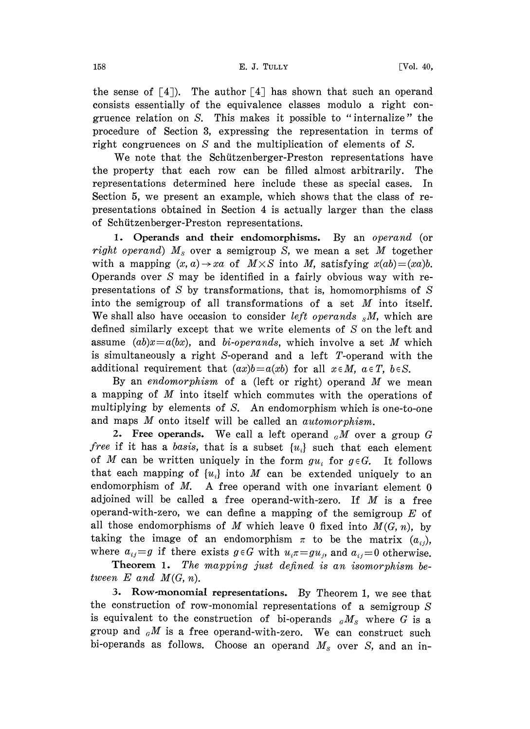the sense of  $[4]$ ). The author  $[4]$  has shown that such an operand consists essentially of the equivalence classes modulo a right congruence relation on S. This makes it possible to "internalize" the procedure of Section 3, expressing the representation in terms of right congruences on S and the multiplication of elements of S.

We note that the Schitzenberger-Preston representations have the property that each row can be filled almost arbitrarily. The representations determined here include these as special cases. In Section 5, we present an example, which shows that the class of representations obtained in Section 4 is actually larger than the class of Schitzenberger-Preston representations.

1. Operands and their endomorphisms. By an operand (or right operand)  $M_s$  over a semigroup S, we mean a set M together with a mapping  $(x, a) \rightarrow xa$  of  $M \times S$  into M, satisfying  $x(ab) = (xa)b$ . Operands over S may be identified in a fairly obvious way with representations of S by transformations, that is, homomorphisms of S into the semigroup of all transformations of <sup>a</sup> set M into itself. We shall also have occasion to consider *left operands*  $_{s}M$ , which are defined similarly except that we write elements of  $S$  on the left and assume  $(ab)x=a(bx)$ , and bi-operands, which involve a set M which is simultaneously a right S-operand and a left T-operand with the additional requirement that  $(ax)b=a(xb)$  for all  $x \in M$ ,  $a \in T$ ,  $b \in S$ .

By an endomorphism of a (left or right) operand  $M$  we mean <sup>a</sup> mapping of M into itself which commutes with the operations of multiplying by elements of S. An endomorphism which is one-to-one and maps M onto itself will be called an automorphism.

2. Free operands. We call a left operand  $_{G}M$  over a group G free if it has a basis, that is a subset  $\{u_i\}$  such that each element of M can be written uniquely in the form  $gu_i$  for  $g \in G$ . It follows that each mapping of  $\{u_i\}$  into M can be extended uniquely to an endomorphism of  $M$ . A free operand with one invariant element  $0$ adjoined will be called a free operand-with-zero. If  $M$  is a free operand-with-zero, we can define a mapping of the semigroup  $E$  of all those endomorphisms of M which leave 0 fixed into  $M(G, n)$ , by taking the image of an endomorphism  $\pi$  to be the matrix  $(a_{ij})$ , where  $a_{ij}=g$  if there exists  $g \in G$  with  $u_i \pi = g u_j$ , and  $a_{ij}=0$  otherwise.

Theorem 1. The mapping just defined is an isomorphism between  $E$  and  $M(G, n)$ .

3. Row-monomial representations. By Theorem 1, we see that the construction of row-monomial representations of a semigroup  $S$ is equivalent to the construction of bi-operands  $_{G}M_{S}$  where G is a group and  $_{G}M$  is a free operand-with-zero. We can construct such bi-operands as follows. Choose an operand  $M_s$  over S, and an in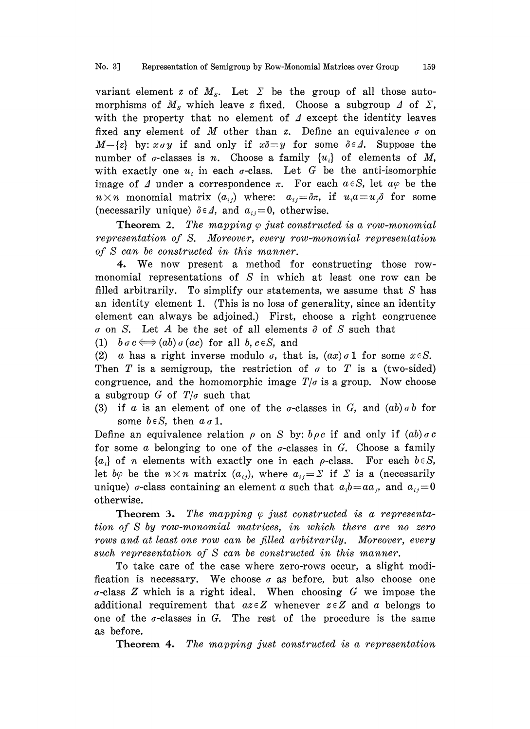variant element z of  $M_s$ . Let  $\Sigma$  be the group of all those automorphisms of  $M_s$  which leave z fixed. Choose a subgroup  $\Delta$  of  $\Sigma$ , with the property that no element of  $\Lambda$  except the identity leaves fixed any element of M other than z. Define an equivalence  $\sigma$  on  $M-\{z\}$  by:  $x \sigma y$  if and only if  $x\delta = y$  for some  $\delta \in \Delta$ . Suppose the number of  $\sigma$ -classes is n. Choose a family  $\{u_i\}$  of elements of M, with exactly one  $u_i$  in each  $\sigma$ -class. Let G be the anti-isomorphic image of  $\Delta$  under a correspondence  $\pi$ . For each  $a \in S$ , let  $a\varphi$  be the  $n \times n$  monomial matrix  $(a_{ij})$  where:  $a_{ij} = \delta \pi$ , if  $u_i a = u_j \delta$  for some (necessarily unique)  $\delta \in \Delta$ , and  $a_{ij} = 0$ , otherwise.

**Theorem 2.** The mapping  $\varphi$  just constructed is a row-monomial representation of S. Moreover, every row-monomial representation of S can be constructed in this manner.

4. We now present a method for constructing those rowmonomial representations of  $S$  in which at least one row can be filled arbitrarily. To simplify our statements, we assume that  $S$  has an identity element 1. (This is no loss of generality, since an identity element can always be adjoined.) First, choose a right congruence  $\sigma$  on S. Let A be the set of all elements  $\partial$  of S such that

(1)  $b \sigma c \Longleftrightarrow (ab) \sigma(ac)$  for all b,  $c \in S$ , and

(2) a has a right inverse modulo  $\sigma$ , that is,  $(ax)\sigma 1$  for some  $x \in S$ . Then T is a semigroup, the restriction of  $\sigma$  to T is a (two-sided) congruence, and the homomorphic image  $T/\sigma$  is a group. Now choose a subgroup G of  $T/\sigma$  such that

(3) if a is an element of one of the *a*-classes in G, and  $(ab) \circ b$  for some  $b \in S$ , then  $a \sigma 1$ .

Define an equivalence relation  $\rho$  on S by:  $b \rho c$  if and only if  $(ab) \sigma c$ for some a belonging to one of the  $\sigma$ -classes in G. Choose a family  $\{a_i\}$  of *n* elements with exactly one in each  $\rho$ -class. For each  $b \in S$ , let by be the  $n \times n$  matrix  $(a_{ij})$ , where  $a_{ij} = \sum$  if  $\Sigma$  is a (necessarily unique)  $\sigma$ -class containing an element  $\alpha$  such that  $a_i b = a a_j$ , and  $a_{ij} = 0$ otherwise.

**Theorem 3.** The mapping  $\varphi$  just constructed is a representation of S by row-monomial matrices, in which there are no zero rows and at least one row can be filled arbitrarily. Moreover, every such representation of S can be constructed in this manner.

To take care of the case where zero-rows occur, a slight modification is necessary. We choose  $\sigma$  as before, but also choose one  $\sigma$ -class Z which is a right ideal. When choosing G we impose the additional requirement that  $a\overline{z} \in Z$  whenever  $\overline{z} \in Z$  and a belongs to one of the  $\sigma$ -classes in G. The rest of the procedure is the same as before.

Theorem 4. The mapping just constructed is a representation